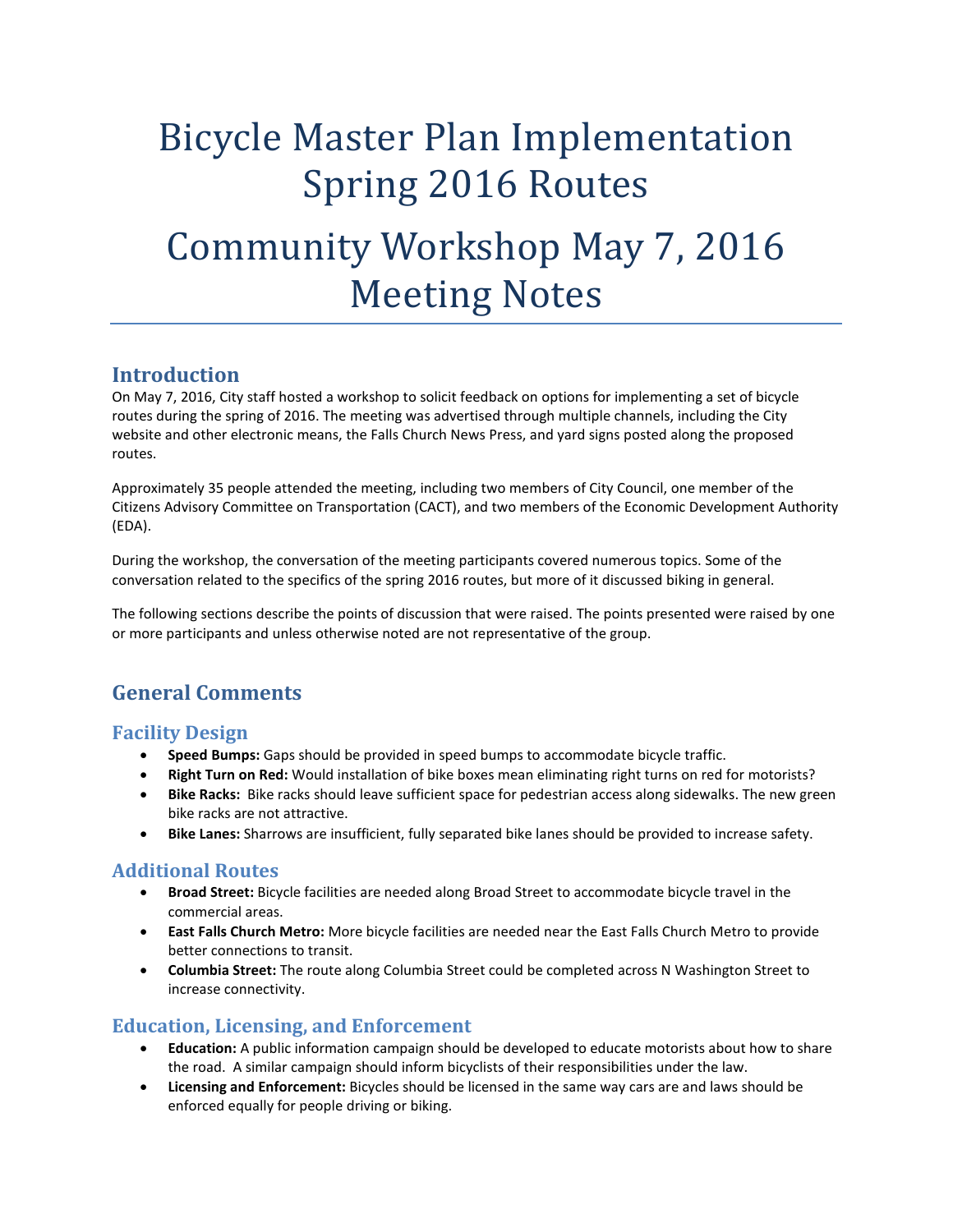# Bicycle Master Plan Implementation Spring 2016 Routes Community Workshop May 7, 2016 Meeting Notes

## **Introduction**

On May 7, 2016, City staff hosted a workshop to solicit feedback on options for implementing a set of bicycle routes during the spring of 2016. The meeting was advertised through multiple channels, including the City website and other electronic means, the Falls Church News Press, and yard signs posted along the proposed routes.

Approximately 35 people attended the meeting, including two members of City Council, one member of the Citizens Advisory Committee on Transportation (CACT), and two members of the Economic Development Authority (EDA).

During the workshop, the conversation of the meeting participants covered numerous topics. Some of the conversation related to the specifics of the spring 2016 routes, but more of it discussed biking in general.

The following sections describe the points of discussion that were raised. The points presented were raised by one or more participants and unless otherwise noted are not representative of the group.

# **General Comments**

#### **Facility Design**

- **Speed Bumps:** Gaps should be provided in speed bumps to accommodate bicycle traffic.
- **Right Turn on Red:** Would installation of bike boxes mean eliminating right turns on red for motorists?
- **Bike Racks:** Bike racks should leave sufficient space for pedestrian access along sidewalks. The new green bike racks are not attractive.
- **Bike Lanes:** Sharrows are insufficient, fully separated bike lanes should be provided to increase safety.

#### **Additional Routes**

- **Broad Street:** Bicycle facilities are needed along Broad Street to accommodate bicycle travel in the commercial areas.
- **East Falls Church Metro:** More bicycle facilities are needed near the East Falls Church Metro to provide better connections to transit.
- **Columbia Street:** The route along Columbia Street could be completed across N Washington Street to increase connectivity.

#### **Education, Licensing, and Enforcement**

- **Education:** A public information campaign should be developed to educate motorists about how to share the road. A similar campaign should inform bicyclists of their responsibilities under the law.
- **Licensing and Enforcement:** Bicycles should be licensed in the same way cars are and laws should be enforced equally for people driving or biking.